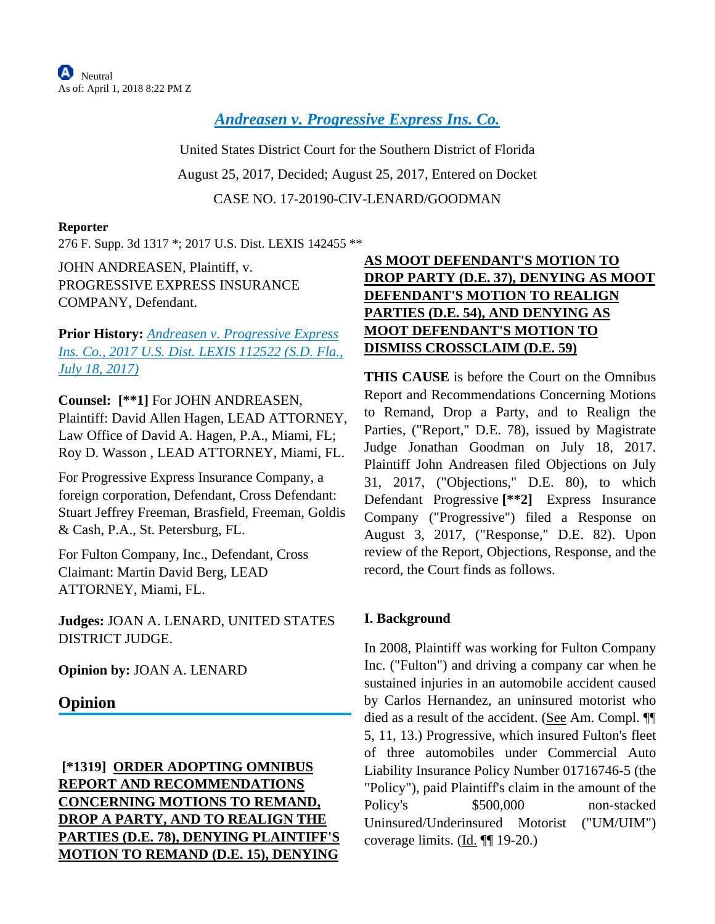# *[Andreasen v. Progressive Express Ins. Co.](https://advance.lexis.com/api/document?collection=cases&id=urn:contentItem:5PD7-R6Y1-F04D-14P2-00000-00&context=)*

United States District Court for the Southern District of Florida August 25, 2017, Decided; August 25, 2017, Entered on Docket CASE NO. 17-20190-CIV-LENARD/GOODMAN

#### **Reporter**

276 F. Supp. 3d 1317 \*; 2017 U.S. Dist. LEXIS 142455 \*\*

JOHN ANDREASEN, Plaintiff, v. PROGRESSIVE EXPRESS INSURANCE COMPANY, Defendant.

**Prior History:** *[Andreasen v. Progressive Express](https://advance.lexis.com/api/document?collection=cases&id=urn:contentItem:5P2D-B431-F04D-130W-00000-00&context=)  [Ins. Co., 2017 U.S. Dist. LEXIS 112522 \(S.D. Fla.,](https://advance.lexis.com/api/document?collection=cases&id=urn:contentItem:5P2D-B431-F04D-130W-00000-00&context=)  [July 18, 2017\)](https://advance.lexis.com/api/document?collection=cases&id=urn:contentItem:5P2D-B431-F04D-130W-00000-00&context=)*

**Counsel: [\*\*1]** For JOHN ANDREASEN, Plaintiff: David Allen Hagen, LEAD ATTORNEY, Law Office of David A. Hagen, P.A., Miami, FL; Roy D. Wasson , LEAD ATTORNEY, Miami, FL.

For Progressive Express Insurance Company, a foreign corporation, Defendant, Cross Defendant: Stuart Jeffrey Freeman, Brasfield, Freeman, Goldis & Cash, P.A., St. Petersburg, FL.

For Fulton Company, Inc., Defendant, Cross Claimant: Martin David Berg, LEAD ATTORNEY, Miami, FL.

**Judges:** JOAN A. LENARD, UNITED STATES DISTRICT JUDGE.

**Opinion by:** JOAN A. LENARD

## **Opinion**

 **[\*1319] ORDER ADOPTING OMNIBUS REPORT AND RECOMMENDATIONS CONCERNING MOTIONS TO REMAND, DROP A PARTY, AND TO REALIGN THE PARTIES (D.E. 78), DENYING PLAINTIFF'S MOTION TO REMAND (D.E. 15), DENYING** 

# **AS MOOT DEFENDANT'S MOTION TO DROP PARTY (D.E. 37), DENYING AS MOOT DEFENDANT'S MOTION TO REALIGN PARTIES (D.E. 54), AND DENYING AS MOOT DEFENDANT'S MOTION TO DISMISS CROSSCLAIM (D.E. 59)**

**THIS CAUSE** is before the Court on the Omnibus Report and Recommendations Concerning Motions to Remand, Drop a Party, and to Realign the Parties, ("Report," D.E. 78), issued by Magistrate Judge Jonathan Goodman on July 18, 2017. Plaintiff John Andreasen filed Objections on July 31, 2017, ("Objections," D.E. 80), to which Defendant Progressive **[\*\*2]** Express Insurance Company ("Progressive") filed a Response on August 3, 2017, ("Response," D.E. 82). Upon review of the Report, Objections, Response, and the record, the Court finds as follows.

## **I. Background**

In 2008, Plaintiff was working for Fulton Company Inc. ("Fulton") and driving a company car when he sustained injuries in an automobile accident caused by Carlos Hernandez, an uninsured motorist who died as a result of the accident. (See Am. Compl. ¶¶ 5, 11, 13.) Progressive, which insured Fulton's fleet of three automobiles under Commercial Auto Liability Insurance Policy Number 01716746-5 (the "Policy"), paid Plaintiff's claim in the amount of the Policy's  $$500,000$  non-stacked Uninsured/Underinsured Motorist ("UM/UIM") coverage limits. (Id. ¶¶ 19-20.)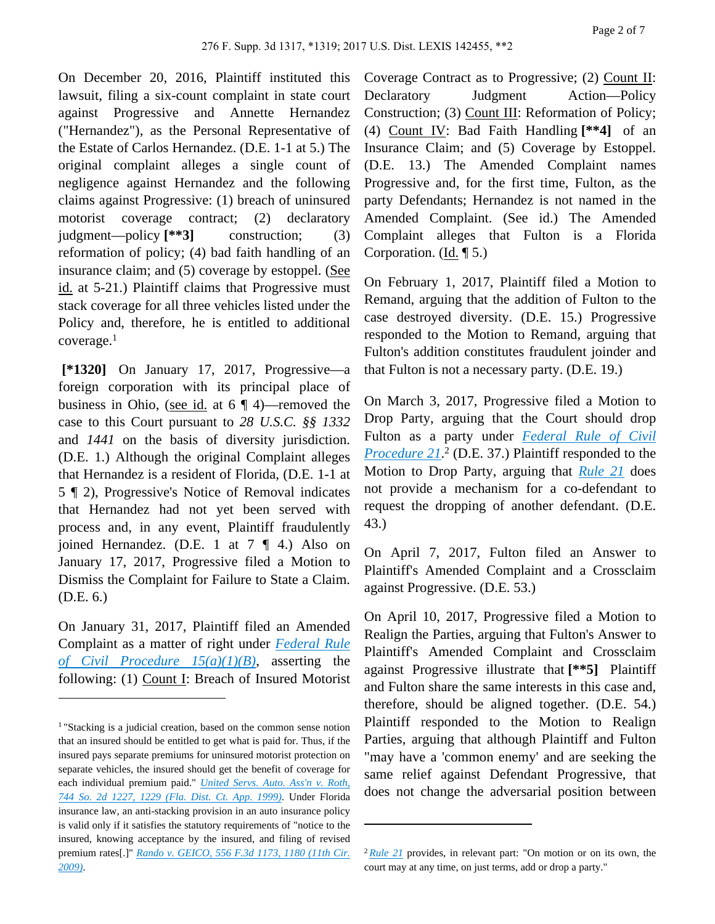On December 20, 2016, Plaintiff instituted this lawsuit, filing a six-count complaint in state court against Progressive and Annette Hernandez ("Hernandez"), as the Personal Representative of the Estate of Carlos Hernandez. (D.E. 1-1 at 5.) The original complaint alleges a single count of negligence against Hernandez and the following claims against Progressive: (1) breach of uninsured motorist coverage contract; (2) declaratory judgment—policy **[\*\*3]** construction; (3) reformation of policy; (4) bad faith handling of an insurance claim; and (5) coverage by estoppel. (See id. at 5-21.) Plaintiff claims that Progressive must stack coverage for all three vehicles listed under the Policy and, therefore, he is entitled to additional coverage.<sup>1</sup>

 **[\*1320]** On January 17, 2017, Progressive—a foreign corporation with its principal place of business in Ohio, (see id. at  $6 \nparallel 4$ )—removed the case to this Court pursuant to *28 U.S.C. §§ 1332* and *1441* on the basis of diversity jurisdiction. (D.E. 1.) Although the original Complaint alleges that Hernandez is a resident of Florida, (D.E. 1-1 at 5 ¶ 2), Progressive's Notice of Removal indicates that Hernandez had not yet been served with process and, in any event, Plaintiff fraudulently joined Hernandez. (D.E. 1 at 7 ¶ 4.) Also on January 17, 2017, Progressive filed a Motion to Dismiss the Complaint for Failure to State a Claim. (D.E. 6.)

On January 31, 2017, Plaintiff filed an Amended Complaint as a matter of right under *[Federal Rule](https://advance.lexis.com/api/document?collection=statutes-legislation&id=urn:contentItem:5GYC-1WP1-6N19-F103-00000-00&context=)  [of Civil Procedure 15\(a\)\(1\)\(B\)](https://advance.lexis.com/api/document?collection=statutes-legislation&id=urn:contentItem:5GYC-1WP1-6N19-F103-00000-00&context=)*, asserting the following: (1) Count I: Breach of Insured Motorist Coverage Contract as to Progressive; (2) Count II: Declaratory Judgment Action—Policy Construction; (3) Count III: Reformation of Policy; (4) Count IV: Bad Faith Handling **[\*\*4]** of an Insurance Claim; and (5) Coverage by Estoppel. (D.E. 13.) The Amended Complaint names Progressive and, for the first time, Fulton, as the party Defendants; Hernandez is not named in the Amended Complaint. (See id.) The Amended Complaint alleges that Fulton is a Florida Corporation. (Id. ¶ 5.)

On February 1, 2017, Plaintiff filed a Motion to Remand, arguing that the addition of Fulton to the case destroyed diversity. (D.E. 15.) Progressive responded to the Motion to Remand, arguing that Fulton's addition constitutes fraudulent joinder and that Fulton is not a necessary party. (D.E. 19.)

On March 3, 2017, Progressive filed a Motion to Drop Party, arguing that the Court should drop Fulton as a party under *[Federal Rule of Civil](https://advance.lexis.com/api/document?collection=statutes-legislation&id=urn:contentItem:5GYC-2101-FG36-137J-00000-00&context=)  [Procedure 21](https://advance.lexis.com/api/document?collection=statutes-legislation&id=urn:contentItem:5GYC-2101-FG36-137J-00000-00&context=)*. 2 (D.E. 37.) Plaintiff responded to the Motion to Drop Party, arguing that *[Rule 21](https://advance.lexis.com/api/document?collection=statutes-legislation&id=urn:contentItem:5GYC-2101-FG36-137J-00000-00&context=)* does not provide a mechanism for a co-defendant to request the dropping of another defendant. (D.E. 43.)

On April 7, 2017, Fulton filed an Answer to Plaintiff's Amended Complaint and a Crossclaim against Progressive. (D.E. 53.)

On April 10, 2017, Progressive filed a Motion to Realign the Parties, arguing that Fulton's Answer to Plaintiff's Amended Complaint and Crossclaim against Progressive illustrate that **[\*\*5]** Plaintiff and Fulton share the same interests in this case and, therefore, should be aligned together. (D.E. 54.) Plaintiff responded to the Motion to Realign Parties, arguing that although Plaintiff and Fulton "may have a 'common enemy' and are seeking the same relief against Defendant Progressive, that does not change the adversarial position between

<sup>1</sup>"Stacking is a judicial creation, based on the common sense notion that an insured should be entitled to get what is paid for. Thus, if the insured pays separate premiums for uninsured motorist protection on separate vehicles, the insured should get the benefit of coverage for each individual premium paid." *[United Servs. Auto. Ass'n v. Roth,](https://advance.lexis.com/api/document?collection=cases&id=urn:contentItem:3XVH-BFJ0-0039-4227-00000-00&context=)  [744 So. 2d 1227, 1229 \(Fla. Dist. Ct. App. 1999\)](https://advance.lexis.com/api/document?collection=cases&id=urn:contentItem:3XVH-BFJ0-0039-4227-00000-00&context=)*. Under Florida insurance law, an anti-stacking provision in an auto insurance policy is valid only if it satisfies the statutory requirements of "notice to the insured, knowing acceptance by the insured, and filing of revised premium rates[.]" *[Rando v. GEICO, 556 F.3d 1173, 1180 \(11th Cir.](https://advance.lexis.com/api/document?collection=cases&id=urn:contentItem:4VJ1-36V0-TXFX-G20P-00000-00&context=)  [2009\)](https://advance.lexis.com/api/document?collection=cases&id=urn:contentItem:4VJ1-36V0-TXFX-G20P-00000-00&context=)*.

<sup>2</sup>*[Rule 21](https://advance.lexis.com/api/document?collection=statutes-legislation&id=urn:contentItem:5GYC-2101-FG36-137J-00000-00&context=)* provides, in relevant part: "On motion or on its own, the court may at any time, on just terms, add or drop a party."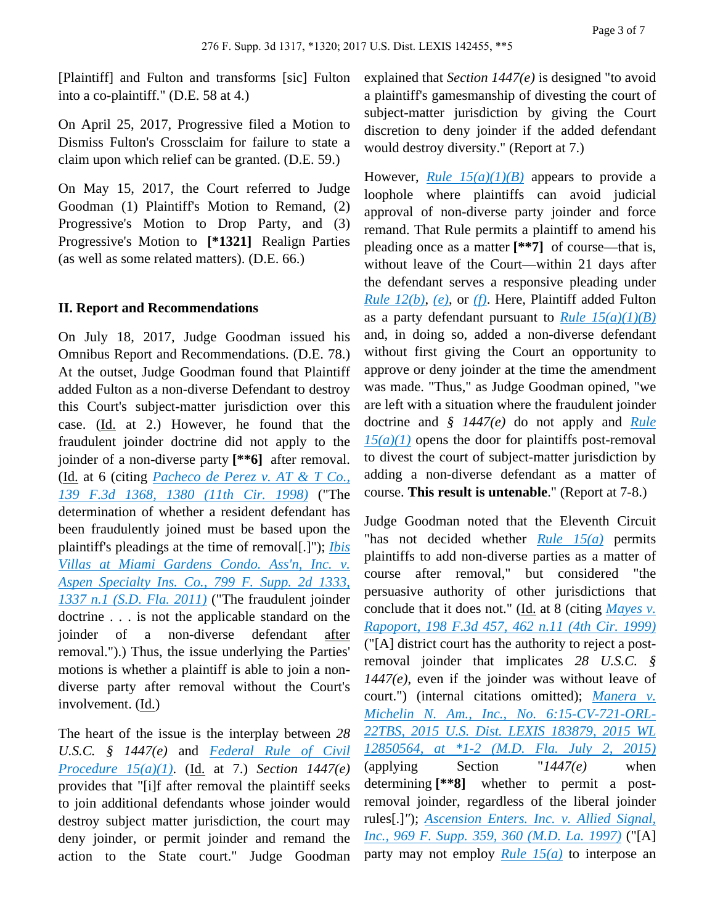[Plaintiff] and Fulton and transforms [sic] Fulton into a co-plaintiff." (D.E. 58 at 4.)

On April 25, 2017, Progressive filed a Motion to Dismiss Fulton's Crossclaim for failure to state a claim upon which relief can be granted. (D.E. 59.)

On May 15, 2017, the Court referred to Judge Goodman (1) Plaintiff's Motion to Remand, (2) Progressive's Motion to Drop Party, and (3) Progressive's Motion to **[\*1321]** Realign Parties (as well as some related matters). (D.E. 66.)

#### **II. Report and Recommendations**

On July 18, 2017, Judge Goodman issued his Omnibus Report and Recommendations. (D.E. 78.) At the outset, Judge Goodman found that Plaintiff added Fulton as a non-diverse Defendant to destroy this Court's subject-matter jurisdiction over this case. (Id. at 2.) However, he found that the fraudulent joinder doctrine did not apply to the joinder of a non-diverse party **[\*\*6]** after removal. (Id. at 6 (citing *[Pacheco de Perez v. AT & T Co.,](https://advance.lexis.com/api/document?collection=cases&id=urn:contentItem:3SP2-86X0-0038-X28N-00000-00&context=)  [139 F.3d 1368, 1380 \(11th Cir. 1998\)](https://advance.lexis.com/api/document?collection=cases&id=urn:contentItem:3SP2-86X0-0038-X28N-00000-00&context=)* ("The determination of whether a resident defendant has been fraudulently joined must be based upon the plaintiff's pleadings at the time of removal[.]"); *[Ibis](https://advance.lexis.com/api/document?collection=cases&id=urn:contentItem:53DB-76P1-JCNB-91CV-00000-00&context=)  [Villas at Miami Gardens Condo. Ass'n, Inc. v.](https://advance.lexis.com/api/document?collection=cases&id=urn:contentItem:53DB-76P1-JCNB-91CV-00000-00&context=)  [Aspen Specialty Ins. Co., 799 F. Supp. 2d 1333,](https://advance.lexis.com/api/document?collection=cases&id=urn:contentItem:53DB-76P1-JCNB-91CV-00000-00&context=)  [1337 n.1 \(S.D. Fla. 2011\)](https://advance.lexis.com/api/document?collection=cases&id=urn:contentItem:53DB-76P1-JCNB-91CV-00000-00&context=)* ("The fraudulent joinder doctrine . . . is not the applicable standard on the joinder of a non-diverse defendant after removal.").) Thus, the issue underlying the Parties' motions is whether a plaintiff is able to join a nondiverse party after removal without the Court's involvement. (Id.)

The heart of the issue is the interplay between *28 U.S.C. § 1447(e)* and *[Federal Rule of Civil](https://advance.lexis.com/api/document?collection=statutes-legislation&id=urn:contentItem:5GYC-1WP1-6N19-F103-00000-00&context=)  [Procedure 15\(a\)\(1\)](https://advance.lexis.com/api/document?collection=statutes-legislation&id=urn:contentItem:5GYC-1WP1-6N19-F103-00000-00&context=)*. (Id. at 7.) *Section 1447(e)* provides that "[i]f after removal the plaintiff seeks to join additional defendants whose joinder would destroy subject matter jurisdiction, the court may deny joinder, or permit joinder and remand the action to the State court." Judge Goodman

explained that *Section 1447(e)* is designed "to avoid a plaintiff's gamesmanship of divesting the court of subject-matter jurisdiction by giving the Court discretion to deny joinder if the added defendant would destroy diversity." (Report at 7.)

However, *[Rule 15\(a\)\(1\)\(B\)](https://advance.lexis.com/api/document?collection=statutes-legislation&id=urn:contentItem:5GYC-1WP1-6N19-F103-00000-00&context=)* appears to provide a loophole where plaintiffs can avoid judicial approval of non-diverse party joinder and force remand. That Rule permits a plaintiff to amend his pleading once as a matter **[\*\*7]** of course—that is, without leave of the Court—within 21 days after the defendant serves a responsive pleading under *[Rule 12\(b\)](https://advance.lexis.com/api/document?collection=statutes-legislation&id=urn:contentItem:5GYC-1WP1-6N19-F0YW-00000-00&context=)*, *[\(e\)](https://advance.lexis.com/api/document?collection=statutes-legislation&id=urn:contentItem:5GYC-1WP1-6N19-F0YW-00000-00&context=)*, or *[\(f\)](https://advance.lexis.com/api/document?collection=statutes-legislation&id=urn:contentItem:5GYC-1WP1-6N19-F0YW-00000-00&context=)*. Here, Plaintiff added Fulton as a party defendant pursuant to *[Rule 15\(a\)\(1\)\(B\)](https://advance.lexis.com/api/document?collection=statutes-legislation&id=urn:contentItem:5GYC-1WP1-6N19-F103-00000-00&context=)* and, in doing so, added a non-diverse defendant without first giving the Court an opportunity to approve or deny joinder at the time the amendment was made. "Thus," as Judge Goodman opined, "we are left with a situation where the fraudulent joinder doctrine and *§ 1447(e)* do not apply and *[Rule](https://advance.lexis.com/api/document?collection=statutes-legislation&id=urn:contentItem:5GYC-1WP1-6N19-F103-00000-00&context=)*   $15(a)(1)$  opens the door for plaintiffs post-removal to divest the court of subject-matter jurisdiction by adding a non-diverse defendant as a matter of course. **This result is untenable**." (Report at 7-8.)

Judge Goodman noted that the Eleventh Circuit "has not decided whether *[Rule 15\(a\)](https://advance.lexis.com/api/document?collection=statutes-legislation&id=urn:contentItem:5GYC-1WP1-6N19-F103-00000-00&context=)* permits plaintiffs to add non-diverse parties as a matter of course after removal," but considered "the persuasive authority of other jurisdictions that conclude that it does not." (Id. at 8 (citing *[Mayes v.](https://advance.lexis.com/api/document?collection=cases&id=urn:contentItem:3Y1C-PGP0-0038-X3J8-00000-00&context=)  [Rapoport, 198 F.3d 457, 462 n.11 \(4th Cir. 1999\)](https://advance.lexis.com/api/document?collection=cases&id=urn:contentItem:3Y1C-PGP0-0038-X3J8-00000-00&context=)* ("[A] district court has the authority to reject a postremoval joinder that implicates *28 U.S.C. § 1447(e)*, even if the joinder was without leave of court.") (internal citations omitted); *[Manera v.](https://advance.lexis.com/api/document?collection=cases&id=urn:contentItem:5MJW-BS31-F04D-1188-00000-00&context=)  [Michelin N. Am., Inc., No. 6:15-CV-721-ORL-](https://advance.lexis.com/api/document?collection=cases&id=urn:contentItem:5MJW-BS31-F04D-1188-00000-00&context=)[22TBS, 2015 U.S. Dist. LEXIS 183879, 2015 WL](https://advance.lexis.com/api/document?collection=cases&id=urn:contentItem:5MJW-BS31-F04D-1188-00000-00&context=)  [12850564, at \\*1-2 \(M.D. Fla. July 2, 2015\)](https://advance.lexis.com/api/document?collection=cases&id=urn:contentItem:5MJW-BS31-F04D-1188-00000-00&context=)* (applying Section "*1447(e)* when determining **[\*\*8]** whether to permit a postremoval joinder, regardless of the liberal joinder rules[.]*"*); *[Ascension Enters. Inc. v. Allied Signal,](https://advance.lexis.com/api/document?collection=cases&id=urn:contentItem:3S2H-WPS0-00B1-F3W3-00000-00&context=)  [Inc., 969 F. Supp. 359, 360 \(M.D. La. 1997\)](https://advance.lexis.com/api/document?collection=cases&id=urn:contentItem:3S2H-WPS0-00B1-F3W3-00000-00&context=)* ("[A] party may not employ *[Rule 15\(a\)](https://advance.lexis.com/api/document?collection=statutes-legislation&id=urn:contentItem:5GYC-1WP1-6N19-F103-00000-00&context=)* to interpose an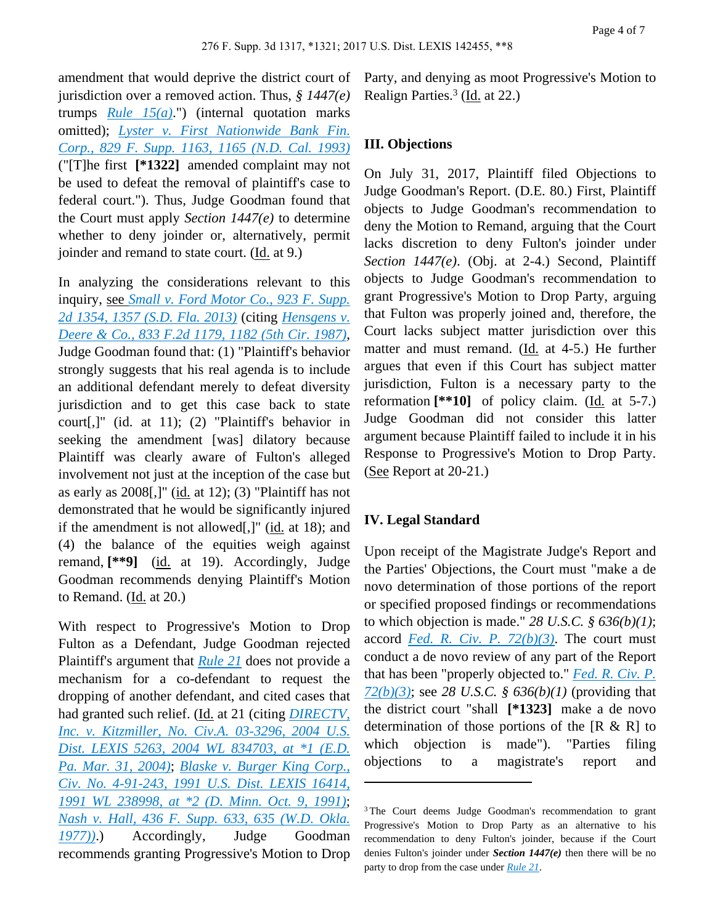amendment that would deprive the district court of jurisdiction over a removed action. Thus, *§ 1447(e)* trumps *[Rule 15\(a\)](https://advance.lexis.com/api/document?collection=statutes-legislation&id=urn:contentItem:5GYC-1WP1-6N19-F103-00000-00&context=)*.") (internal quotation marks omitted); *[Lyster v. First Nationwide Bank Fin.](https://advance.lexis.com/api/document?collection=cases&id=urn:contentItem:3S4N-M930-001T-6332-00000-00&context=)  [Corp., 829 F. Supp. 1163, 1165 \(N.D. Cal. 1993\)](https://advance.lexis.com/api/document?collection=cases&id=urn:contentItem:3S4N-M930-001T-6332-00000-00&context=)* ("[T]he first **[\*1322]** amended complaint may not be used to defeat the removal of plaintiff's case to federal court."). Thus, Judge Goodman found that the Court must apply *Section 1447(e)* to determine whether to deny joinder or, alternatively, permit joinder and remand to state court. (Id. at 9.)

In analyzing the considerations relevant to this inquiry, see *[Small v. Ford Motor Co., 923 F. Supp.](https://advance.lexis.com/api/document?collection=cases&id=urn:contentItem:57RS-CSK1-F04D-110S-00000-00&context=)  [2d 1354, 1357 \(S.D. Fla. 2013\)](https://advance.lexis.com/api/document?collection=cases&id=urn:contentItem:57RS-CSK1-F04D-110S-00000-00&context=)* (citing *[Hensgens v.](https://advance.lexis.com/api/document?collection=cases&id=urn:contentItem:3S4X-46V0-001B-K2V5-00000-00&context=)  [Deere & Co., 833 F.2d 1179, 1182 \(5th Cir. 1987\)](https://advance.lexis.com/api/document?collection=cases&id=urn:contentItem:3S4X-46V0-001B-K2V5-00000-00&context=)*, Judge Goodman found that: (1) "Plaintiff's behavior strongly suggests that his real agenda is to include an additional defendant merely to defeat diversity jurisdiction and to get this case back to state court[,]" (id. at 11); (2) "Plaintiff's behavior in seeking the amendment [was] dilatory because Plaintiff was clearly aware of Fulton's alleged involvement not just at the inception of the case but as early as  $2008$ [,]" (id. at 12); (3) "Plaintiff has not demonstrated that he would be significantly injured if the amendment is not allowed[,]" (id. at 18); and (4) the balance of the equities weigh against remand, **[\*\*9]** (id. at 19). Accordingly, Judge Goodman recommends denying Plaintiff's Motion to Remand. (Id. at 20.)

With respect to Progressive's Motion to Drop Fulton as a Defendant, Judge Goodman rejected Plaintiff's argument that *[Rule 21](https://advance.lexis.com/api/document?collection=statutes-legislation&id=urn:contentItem:5GYC-2101-FG36-137J-00000-00&context=)* does not provide a mechanism for a co-defendant to request the dropping of another defendant, and cited cases that had granted such relief. (Id. at 21 (citing *[DIRECTV,](https://advance.lexis.com/api/document?collection=cases&id=urn:contentItem:4C2J-JGP0-0038-Y406-00000-00&context=)  [Inc. v. Kitzmiller, No. Civ.A. 03-3296, 2004 U.S.](https://advance.lexis.com/api/document?collection=cases&id=urn:contentItem:4C2J-JGP0-0038-Y406-00000-00&context=)  [Dist. LEXIS 5263, 2004 WL 834703, at \\*1 \(E.D.](https://advance.lexis.com/api/document?collection=cases&id=urn:contentItem:4C2J-JGP0-0038-Y406-00000-00&context=)  [Pa. Mar. 31, 2004\)](https://advance.lexis.com/api/document?collection=cases&id=urn:contentItem:4C2J-JGP0-0038-Y406-00000-00&context=)*; *[Blaske v. Burger King Corp.,](https://advance.lexis.com/api/document?collection=cases&id=urn:contentItem:3S4N-9SM0-001T-70MV-00000-00&context=)  [Civ. No. 4-91-243, 1991 U.S. Dist. LEXIS 16414,](https://advance.lexis.com/api/document?collection=cases&id=urn:contentItem:3S4N-9SM0-001T-70MV-00000-00&context=)  [1991 WL 238998, at \\*2 \(D. Minn. Oct. 9, 1991\)](https://advance.lexis.com/api/document?collection=cases&id=urn:contentItem:3S4N-9SM0-001T-70MV-00000-00&context=)*; *[Nash v. Hall, 436 F. Supp. 633, 635 \(W.D. Okla.](https://advance.lexis.com/api/document?collection=cases&id=urn:contentItem:3S4N-TNP0-0054-71GF-00000-00&context=)  [1977\)\)](https://advance.lexis.com/api/document?collection=cases&id=urn:contentItem:3S4N-TNP0-0054-71GF-00000-00&context=)*.) Accordingly, Judge Goodman recommends granting Progressive's Motion to Drop Party, and denying as moot Progressive's Motion to Realign Parties.<sup>3</sup> (Id. at 22.)

#### **III. Objections**

On July 31, 2017, Plaintiff filed Objections to Judge Goodman's Report. (D.E. 80.) First, Plaintiff objects to Judge Goodman's recommendation to deny the Motion to Remand, arguing that the Court lacks discretion to deny Fulton's joinder under *Section 1447(e)*. (Obj. at 2-4.) Second, Plaintiff objects to Judge Goodman's recommendation to grant Progressive's Motion to Drop Party, arguing that Fulton was properly joined and, therefore, the Court lacks subject matter jurisdiction over this matter and must remand. (Id. at 4-5.) He further argues that even if this Court has subject matter jurisdiction, Fulton is a necessary party to the reformation **[\*\*10]** of policy claim. (Id. at 5-7.) Judge Goodman did not consider this latter argument because Plaintiff failed to include it in his Response to Progressive's Motion to Drop Party. (See Report at 20-21.)

#### **IV. Legal Standard**

Upon receipt of the Magistrate Judge's Report and the Parties' Objections, the Court must "make a de novo determination of those portions of the report or specified proposed findings or recommendations to which objection is made." *28 U.S.C. § 636(b)(1)*; accord *[Fed. R. Civ. P. 72\(b\)\(3\)](https://advance.lexis.com/api/document?collection=statutes-legislation&id=urn:contentItem:5GYC-25Y1-FG36-104X-00000-00&context=)*. The court must conduct a de novo review of any part of the Report that has been "properly objected to." *[Fed. R. Civ. P.](https://advance.lexis.com/api/document?collection=statutes-legislation&id=urn:contentItem:5GYC-25Y1-FG36-104X-00000-00&context=)  [72\(b\)\(3\)](https://advance.lexis.com/api/document?collection=statutes-legislation&id=urn:contentItem:5GYC-25Y1-FG36-104X-00000-00&context=)*; see *28 U.S.C. § 636(b)(1)* (providing that the district court "shall **[\*1323]** make a de novo determination of those portions of the  $[R \& R]$  to which objection is made"). "Parties filing objections to a magistrate's report and

<sup>&</sup>lt;sup>3</sup>The Court deems Judge Goodman's recommendation to grant Progressive's Motion to Drop Party as an alternative to his recommendation to deny Fulton's joinder, because if the Court denies Fulton's joinder under *Section 1447(e)* then there will be no party to drop from the case under *[Rule 21](https://advance.lexis.com/api/document?collection=statutes-legislation&id=urn:contentItem:5GYC-2101-FG36-137J-00000-00&context=)*.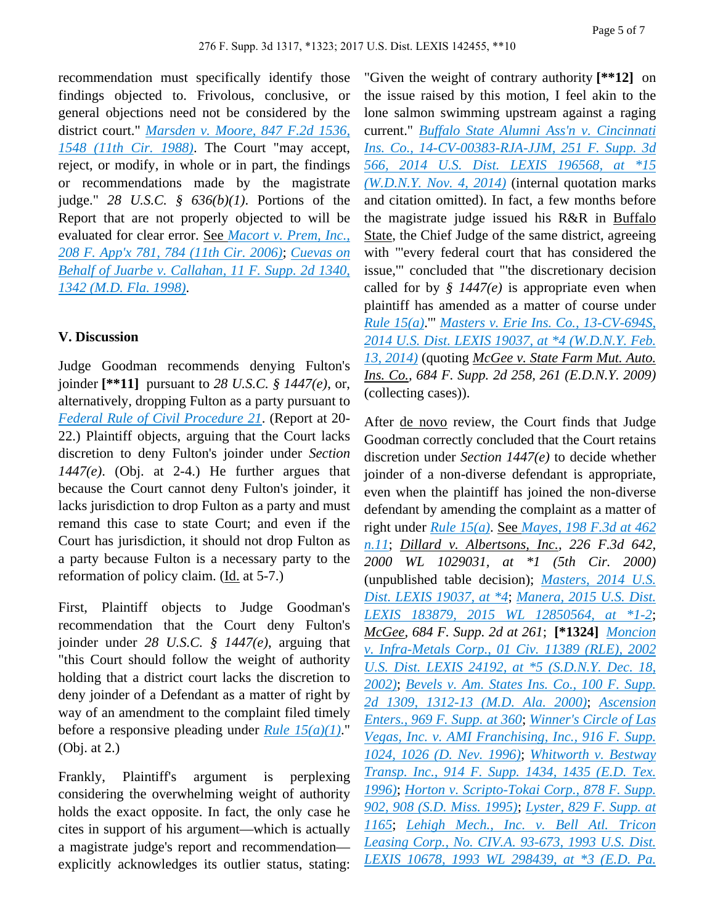recommendation must specifically identify those findings objected to. Frivolous, conclusive, or general objections need not be considered by the district court." *[Marsden v. Moore, 847 F.2d 1536,](https://advance.lexis.com/api/document?collection=cases&id=urn:contentItem:3S4X-0BK0-001B-K189-00000-00&context=)  [1548 \(11th Cir. 1988\)](https://advance.lexis.com/api/document?collection=cases&id=urn:contentItem:3S4X-0BK0-001B-K189-00000-00&context=)*. The Court "may accept, reject, or modify, in whole or in part, the findings or recommendations made by the magistrate judge." *28 U.S.C. § 636(b)(1)*. Portions of the Report that are not properly objected to will be evaluated for clear error. See *[Macort v. Prem, Inc.,](https://advance.lexis.com/api/document?collection=cases&id=urn:contentItem:4MG8-5JT0-0038-X08M-00000-00&context=)  [208 F. App'x 781, 784 \(11th Cir. 2006\)](https://advance.lexis.com/api/document?collection=cases&id=urn:contentItem:4MG8-5JT0-0038-X08M-00000-00&context=)*; *[Cuevas on](https://advance.lexis.com/api/document?collection=cases&id=urn:contentItem:3T52-GCP0-0038-Y198-00000-00&context=)  [Behalf of Juarbe v. Callahan, 11 F. Supp. 2d 1340,](https://advance.lexis.com/api/document?collection=cases&id=urn:contentItem:3T52-GCP0-0038-Y198-00000-00&context=)  [1342 \(M.D. Fla. 1998\)](https://advance.lexis.com/api/document?collection=cases&id=urn:contentItem:3T52-GCP0-0038-Y198-00000-00&context=)*.

#### **V. Discussion**

Judge Goodman recommends denying Fulton's joinder **[\*\*11]** pursuant to *28 U.S.C. § 1447(e)*, or, alternatively, dropping Fulton as a party pursuant to *[Federal Rule of Civil Procedure 21](https://advance.lexis.com/api/document?collection=statutes-legislation&id=urn:contentItem:5GYC-2101-FG36-137J-00000-00&context=)*. (Report at 20- 22.) Plaintiff objects, arguing that the Court lacks discretion to deny Fulton's joinder under *Section 1447(e)*. (Obj. at 2-4.) He further argues that because the Court cannot deny Fulton's joinder, it lacks jurisdiction to drop Fulton as a party and must remand this case to state Court; and even if the Court has jurisdiction, it should not drop Fulton as a party because Fulton is a necessary party to the reformation of policy claim. (Id. at 5-7.)

First, Plaintiff objects to Judge Goodman's recommendation that the Court deny Fulton's joinder under *28 U.S.C. § 1447(e)*, arguing that "this Court should follow the weight of authority holding that a district court lacks the discretion to deny joinder of a Defendant as a matter of right by way of an amendment to the complaint filed timely before a responsive pleading under *[Rule 15\(a\)\(1\)](https://advance.lexis.com/api/document?collection=statutes-legislation&id=urn:contentItem:5GYC-1WP1-6N19-F103-00000-00&context=)*." (Obj. at 2.)

Frankly, Plaintiff's argument is perplexing considering the overwhelming weight of authority holds the exact opposite. In fact, the only case he cites in support of his argument—which is actually a magistrate judge's report and recommendation explicitly acknowledges its outlier status, stating:

"Given the weight of contrary authority **[\*\*12]** on the issue raised by this motion, I feel akin to the lone salmon swimming upstream against a raging current." *[Buffalo State Alumni Ass'n v. Cincinnati](https://advance.lexis.com/api/document?collection=cases&id=urn:contentItem:5NGC-JH21-F04F-00XH-00000-00&context=)  [Ins. Co., 14-CV-00383-RJA-JJM, 251 F. Supp. 3d](https://advance.lexis.com/api/document?collection=cases&id=urn:contentItem:5NGC-JH21-F04F-00XH-00000-00&context=)  [566, 2014 U.S. Dist. LEXIS 196568, at \\*15](https://advance.lexis.com/api/document?collection=cases&id=urn:contentItem:5NGC-JH21-F04F-00XH-00000-00&context=)  [\(W.D.N.Y. Nov. 4, 2014\)](https://advance.lexis.com/api/document?collection=cases&id=urn:contentItem:5NGC-JH21-F04F-00XH-00000-00&context=)* (internal quotation marks and citation omitted). In fact, a few months before the magistrate judge issued his R&R in Buffalo State, the Chief Judge of the same district, agreeing with "'every federal court that has considered the issue,'" concluded that "'the discretionary decision called for by  $\frac{6}{5}$  1447(e) is appropriate even when plaintiff has amended as a matter of course under *[Rule 15\(a\)](https://advance.lexis.com/api/document?collection=statutes-legislation&id=urn:contentItem:5GYC-1WP1-6N19-F103-00000-00&context=)*.'" *[Masters v. Erie Ins. Co., 13-CV-694S,](https://advance.lexis.com/api/document?collection=cases&id=urn:contentItem:5BHG-FRY1-F04F-02Y3-00000-00&context=)  [2014 U.S. Dist. LEXIS 19037, at \\*4 \(W.D.N.Y. Feb.](https://advance.lexis.com/api/document?collection=cases&id=urn:contentItem:5BHG-FRY1-F04F-02Y3-00000-00&context=)  [13, 2014\)](https://advance.lexis.com/api/document?collection=cases&id=urn:contentItem:5BHG-FRY1-F04F-02Y3-00000-00&context=)* (quoting *McGee v. State Farm Mut. Auto. Ins. Co., 684 F. Supp. 2d 258, 261 (E.D.N.Y. 2009)* (collecting cases)).

After de novo review, the Court finds that Judge Goodman correctly concluded that the Court retains discretion under *Section 1447(e)* to decide whether joinder of a non-diverse defendant is appropriate, even when the plaintiff has joined the non-diverse defendant by amending the complaint as a matter of right under *[Rule 15\(a\)](https://advance.lexis.com/api/document?collection=statutes-legislation&id=urn:contentItem:5GYC-1WP1-6N19-F103-00000-00&context=)*. See *[Mayes, 198 F.3d at 462](https://advance.lexis.com/api/document?collection=cases&id=urn:contentItem:3Y1C-PGP0-0038-X3J8-00000-00&context=)  [n.11](https://advance.lexis.com/api/document?collection=cases&id=urn:contentItem:3Y1C-PGP0-0038-X3J8-00000-00&context=)*; *Dillard v. Albertsons, Inc., 226 F.3d 642, 2000 WL 1029031, at \*1 (5th Cir. 2000)* (unpublished table decision); *[Masters, 2014 U.S.](https://advance.lexis.com/api/document?collection=cases&id=urn:contentItem:5BHG-FRY1-F04F-02Y3-00000-00&context=)  [Dist. LEXIS 19037, at \\*4](https://advance.lexis.com/api/document?collection=cases&id=urn:contentItem:5BHG-FRY1-F04F-02Y3-00000-00&context=)*; *[Manera, 2015 U.S. Dist.](https://advance.lexis.com/api/document?collection=cases&id=urn:contentItem:5MJW-BS31-F04D-1188-00000-00&context=)  [LEXIS 183879, 2015 WL 12850564, at \\*1-2](https://advance.lexis.com/api/document?collection=cases&id=urn:contentItem:5MJW-BS31-F04D-1188-00000-00&context=)*; *McGee, 684 F. Supp. 2d at 261*; **[\*1324]** *[Moncion](https://advance.lexis.com/api/document?collection=cases&id=urn:contentItem:47GJ-64X0-0038-Y1KJ-00000-00&context=)  [v. Infra-Metals Corp., 01 Civ. 11389 \(RLE\), 2002](https://advance.lexis.com/api/document?collection=cases&id=urn:contentItem:47GJ-64X0-0038-Y1KJ-00000-00&context=)  [U.S. Dist. LEXIS 24192, at \\*5 \(S.D.N.Y. Dec. 18,](https://advance.lexis.com/api/document?collection=cases&id=urn:contentItem:47GJ-64X0-0038-Y1KJ-00000-00&context=)  [2002\)](https://advance.lexis.com/api/document?collection=cases&id=urn:contentItem:47GJ-64X0-0038-Y1KJ-00000-00&context=)*; *[Bevels v. Am. States Ins. Co., 100 F. Supp.](https://advance.lexis.com/api/document?collection=cases&id=urn:contentItem:40M4-RV00-0038-Y0SW-00000-00&context=)  [2d 1309, 1312-13 \(M.D. Ala. 2000\)](https://advance.lexis.com/api/document?collection=cases&id=urn:contentItem:40M4-RV00-0038-Y0SW-00000-00&context=)*; *[Ascension](https://advance.lexis.com/api/document?collection=cases&id=urn:contentItem:3S2H-WPS0-00B1-F3W3-00000-00&context=)  [Enters., 969 F. Supp. at 360](https://advance.lexis.com/api/document?collection=cases&id=urn:contentItem:3S2H-WPS0-00B1-F3W3-00000-00&context=)*; *[Winner's Circle of Las](https://advance.lexis.com/api/document?collection=cases&id=urn:contentItem:3S4N-TJM0-006F-P32M-00000-00&context=)  [Vegas, Inc. v. AMI Franchising, Inc., 916 F. Supp.](https://advance.lexis.com/api/document?collection=cases&id=urn:contentItem:3S4N-TJM0-006F-P32M-00000-00&context=)  [1024, 1026 \(D. Nev. 1996\)](https://advance.lexis.com/api/document?collection=cases&id=urn:contentItem:3S4N-TJM0-006F-P32M-00000-00&context=)*; *[Whitworth v. Bestway](https://advance.lexis.com/api/document?collection=cases&id=urn:contentItem:3S4N-VGT0-006F-P04M-00000-00&context=)  [Transp. Inc., 914 F. Supp. 1434, 1435 \(E.D. Tex.](https://advance.lexis.com/api/document?collection=cases&id=urn:contentItem:3S4N-VGT0-006F-P04M-00000-00&context=)  [1996\)](https://advance.lexis.com/api/document?collection=cases&id=urn:contentItem:3S4N-VGT0-006F-P04M-00000-00&context=)*; *[Horton v. Scripto-Tokai Corp., 878 F. Supp.](https://advance.lexis.com/api/document?collection=cases&id=urn:contentItem:3S4N-SYC0-001T-51D4-00000-00&context=)  [902, 908 \(S.D. Miss. 1995\)](https://advance.lexis.com/api/document?collection=cases&id=urn:contentItem:3S4N-SYC0-001T-51D4-00000-00&context=)*; *[Lyster, 829 F. Supp. at](https://advance.lexis.com/api/document?collection=cases&id=urn:contentItem:3S4N-M930-001T-6332-00000-00&context=)  [1165](https://advance.lexis.com/api/document?collection=cases&id=urn:contentItem:3S4N-M930-001T-6332-00000-00&context=)*; *[Lehigh Mech., Inc. v. Bell Atl. Tricon](https://advance.lexis.com/api/document?collection=cases&id=urn:contentItem:3S4N-HYB0-001T-6086-00000-00&context=)  [Leasing Corp., No. CIV.A. 93-673, 1993 U.S. Dist.](https://advance.lexis.com/api/document?collection=cases&id=urn:contentItem:3S4N-HYB0-001T-6086-00000-00&context=)  [LEXIS 10678, 1993 WL 298439, at \\*3 \(E.D. Pa.](https://advance.lexis.com/api/document?collection=cases&id=urn:contentItem:3S4N-HYB0-001T-6086-00000-00&context=)*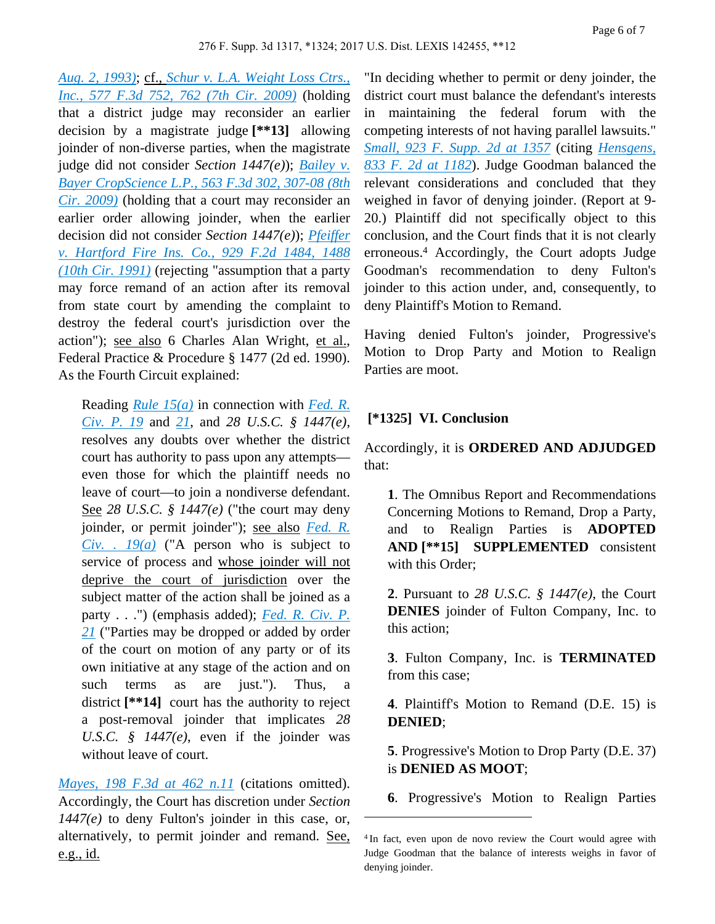*[Aug. 2, 1993\)](https://advance.lexis.com/api/document?collection=cases&id=urn:contentItem:3S4N-HYB0-001T-6086-00000-00&context=)*; cf., *[Schur v. L.A. Weight Loss Ctrs.,](https://advance.lexis.com/api/document?collection=cases&id=urn:contentItem:4X19-9700-TXFX-93D7-00000-00&context=)  [Inc., 577 F.3d 752, 762 \(7th Cir. 2009\)](https://advance.lexis.com/api/document?collection=cases&id=urn:contentItem:4X19-9700-TXFX-93D7-00000-00&context=)* (holding that a district judge may reconsider an earlier decision by a magistrate judge **[\*\*13]** allowing joinder of non-diverse parties, when the magistrate judge did not consider *Section 1447(e)*); *[Bailey v.](https://advance.lexis.com/api/document?collection=cases&id=urn:contentItem:4W1N-3C30-TXFX-B244-00000-00&context=)  [Bayer CropScience L.P., 563 F.3d 302, 307-08 \(8th](https://advance.lexis.com/api/document?collection=cases&id=urn:contentItem:4W1N-3C30-TXFX-B244-00000-00&context=)  [Cir. 2009\)](https://advance.lexis.com/api/document?collection=cases&id=urn:contentItem:4W1N-3C30-TXFX-B244-00000-00&context=)* (holding that a court may reconsider an earlier order allowing joinder, when the earlier decision did not consider *Section 1447(e)*); *[Pfeiffer](https://advance.lexis.com/api/document?collection=cases&id=urn:contentItem:3S4X-F370-008H-V2RH-00000-00&context=)  [v. Hartford Fire Ins. Co., 929 F.2d 1484, 1488](https://advance.lexis.com/api/document?collection=cases&id=urn:contentItem:3S4X-F370-008H-V2RH-00000-00&context=)  [\(10th Cir. 1991\)](https://advance.lexis.com/api/document?collection=cases&id=urn:contentItem:3S4X-F370-008H-V2RH-00000-00&context=)* (rejecting "assumption that a party may force remand of an action after its removal from state court by amending the complaint to destroy the federal court's jurisdiction over the action"); see also 6 Charles Alan Wright, et al., Federal Practice & Procedure § 1477 (2d ed. 1990). As the Fourth Circuit explained:

Reading *[Rule 15\(a\)](https://advance.lexis.com/api/document?collection=statutes-legislation&id=urn:contentItem:5GYC-1WP1-6N19-F103-00000-00&context=)* in connection with *[Fed. R.](https://advance.lexis.com/api/document?collection=statutes-legislation&id=urn:contentItem:5GYC-2101-FG36-137D-00000-00&context=)  [Civ. P. 19](https://advance.lexis.com/api/document?collection=statutes-legislation&id=urn:contentItem:5GYC-2101-FG36-137D-00000-00&context=)* and *[21](https://advance.lexis.com/api/document?collection=statutes-legislation&id=urn:contentItem:5GYC-2101-FG36-137J-00000-00&context=)*, and *28 U.S.C. § 1447(e)*, resolves any doubts over whether the district court has authority to pass upon any attempts even those for which the plaintiff needs no leave of court—to join a nondiverse defendant. See *28 U.S.C. § 1447(e)* ("the court may deny joinder, or permit joinder"); see also *[Fed. R.](https://advance.lexis.com/api/document?collection=statutes-legislation&id=urn:contentItem:5GYC-2101-FG36-137D-00000-00&context=)  [Civ. . 19\(a\)](https://advance.lexis.com/api/document?collection=statutes-legislation&id=urn:contentItem:5GYC-2101-FG36-137D-00000-00&context=)* ("A person who is subject to service of process and whose joinder will not deprive the court of jurisdiction over the subject matter of the action shall be joined as a party . . .") (emphasis added); *[Fed. R. Civ. P.](https://advance.lexis.com/api/document?collection=statutes-legislation&id=urn:contentItem:5GYC-2101-FG36-137J-00000-00&context=)  [21](https://advance.lexis.com/api/document?collection=statutes-legislation&id=urn:contentItem:5GYC-2101-FG36-137J-00000-00&context=)* ("Parties may be dropped or added by order of the court on motion of any party or of its own initiative at any stage of the action and on such terms as are just."). Thus, a district **[\*\*14]** court has the authority to reject a post-removal joinder that implicates *28 U.S.C. § 1447(e)*, even if the joinder was without leave of court.

*[Mayes, 198 F.3d at 462 n.11](https://advance.lexis.com/api/document?collection=cases&id=urn:contentItem:3Y1C-PGP0-0038-X3J8-00000-00&context=)* (citations omitted). Accordingly, the Court has discretion under *Section 1447(e)* to deny Fulton's joinder in this case, or, alternatively, to permit joinder and remand. See, e.g., id.

"In deciding whether to permit or deny joinder, the district court must balance the defendant's interests in maintaining the federal forum with the competing interests of not having parallel lawsuits." *[Small, 923 F. Supp. 2d at 1357](https://advance.lexis.com/api/document?collection=cases&id=urn:contentItem:57RS-CSK1-F04D-110S-00000-00&context=)* (citing *[Hensgens,](https://advance.lexis.com/api/document?collection=cases&id=urn:contentItem:3S4X-46V0-001B-K2V5-00000-00&context=)  [833 F. 2d at 1182](https://advance.lexis.com/api/document?collection=cases&id=urn:contentItem:3S4X-46V0-001B-K2V5-00000-00&context=)*). Judge Goodman balanced the relevant considerations and concluded that they weighed in favor of denying joinder. (Report at 9- 20.) Plaintiff did not specifically object to this conclusion, and the Court finds that it is not clearly erroneous.<sup>4</sup> Accordingly, the Court adopts Judge Goodman's recommendation to deny Fulton's joinder to this action under, and, consequently, to deny Plaintiff's Motion to Remand.

Having denied Fulton's joinder, Progressive's Motion to Drop Party and Motion to Realign Parties are moot.

#### **[\*1325] VI. Conclusion**

Accordingly, it is **ORDERED AND ADJUDGED** that:

**1**. The Omnibus Report and Recommendations Concerning Motions to Remand, Drop a Party, and to Realign Parties is **ADOPTED AND [\*\*15] SUPPLEMENTED** consistent with this Order:

**2**. Pursuant to *28 U.S.C. § 1447(e)*, the Court **DENIES** joinder of Fulton Company, Inc. to this action;

**3**. Fulton Company, Inc. is **TERMINATED** from this case;

**4**. Plaintiff's Motion to Remand (D.E. 15) is **DENIED**;

**5**. Progressive's Motion to Drop Party (D.E. 37) is **DENIED AS MOOT**;

**6**. Progressive's Motion to Realign Parties

<sup>&</sup>lt;sup>4</sup>In fact, even upon de novo review the Court would agree with Judge Goodman that the balance of interests weighs in favor of denying joinder.